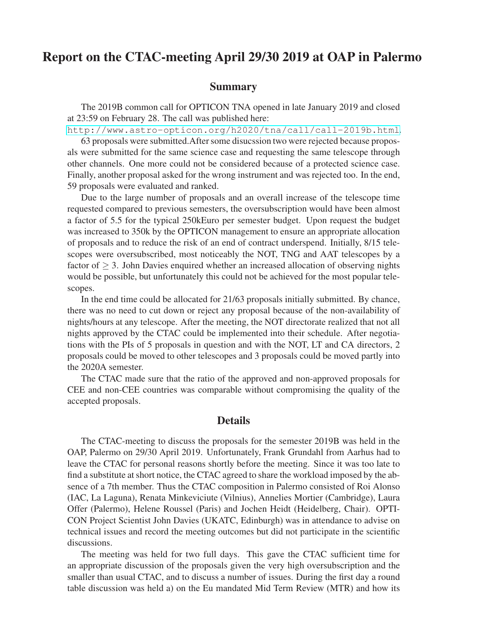## Report on the CTAC-meeting April 29/30 2019 at OAP in Palermo

## Summary

The 2019B common call for OPTICON TNA opened in late January 2019 and closed at 23:59 on February 28. The call was published here:

<http://www.astro-opticon.org/h2020/tna/call/call-2019b.html>. 63 proposals were submitted.After some disucssion two were rejected because propos-

als were submitted for the same science case and requesting the same telescope through other channels. One more could not be considered because of a protected science case. Finally, another proposal asked for the wrong instrument and was rejected too. In the end, 59 proposals were evaluated and ranked.

Due to the large number of proposals and an overall increase of the telescope time requested compared to previous semesters, the oversubscription would have been almost a factor of 5.5 for the typical 250kEuro per semester budget. Upon request the budget was increased to 350k by the OPTICON management to ensure an appropriate allocation of proposals and to reduce the risk of an end of contract underspend. Initially, 8/15 telescopes were oversubscribed, most noticeably the NOT, TNG and AAT telescopes by a factor of  $\geq$  3. John Davies enquired whether an increased allocation of observing nights would be possible, but unfortunately this could not be achieved for the most popular telescopes.

In the end time could be allocated for 21/63 proposals initially submitted. By chance, there was no need to cut down or reject any proposal because of the non-availability of nights/hours at any telescope. After the meeting, the NOT directorate realized that not all nights approved by the CTAC could be implemented into their schedule. After negotiations with the PIs of 5 proposals in question and with the NOT, LT and CA directors, 2 proposals could be moved to other telescopes and 3 proposals could be moved partly into the 2020A semester.

The CTAC made sure that the ratio of the approved and non-approved proposals for CEE and non-CEE countries was comparable without compromising the quality of the accepted proposals.

## **Details**

The CTAC-meeting to discuss the proposals for the semester 2019B was held in the OAP, Palermo on 29/30 April 2019. Unfortunately, Frank Grundahl from Aarhus had to leave the CTAC for personal reasons shortly before the meeting. Since it was too late to find a substitute at short notice, the CTAC agreed to share the workload imposed by the absence of a 7th member. Thus the CTAC composition in Palermo consisted of Roi Alonso (IAC, La Laguna), Renata Minkeviciute (Vilnius), Annelies Mortier (Cambridge), Laura Offer (Palermo), Helene Roussel (Paris) and Jochen Heidt (Heidelberg, Chair). OPTI-CON Project Scientist John Davies (UKATC, Edinburgh) was in attendance to advise on technical issues and record the meeting outcomes but did not participate in the scientific discussions.

The meeting was held for two full days. This gave the CTAC sufficient time for an appropriate discussion of the proposals given the very high oversubscription and the smaller than usual CTAC, and to discuss a number of issues. During the first day a round table discussion was held a) on the Eu mandated Mid Term Review (MTR) and how its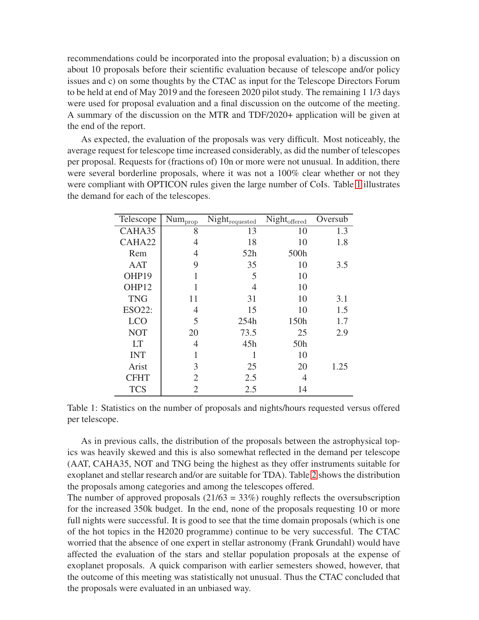recommendations could be incorporated into the proposal evaluation; b) a discussion on about 10 proposals before their scientific evaluation because of telescope and/or policy issues and c) on some thoughts by the CTAC as input for the Telescope Directors Forum to be held at end of May 2019 and the foreseen 2020 pilot study. The remaining 1 1/3 days were used for proposal evaluation and a final discussion on the outcome of the meeting. A summary of the discussion on the MTR and TDF/2020+ application will be given at the end of the report.

As expected, the evaluation of the proposals was very difficult. Most noticeably, the average request for telescope time increased considerably, as did the number of telescopes per proposal. Requests for (fractions of) 10n or more were not unusual. In addition, there were several borderline proposals, where it was not a 100% clear whether or not they were compliant with OPTICON rules given the large number of CoIs. Table [1](#page-1-0) illustrates the demand for each of the telescopes.

| Telescope   | Num <sub>prop</sub> | $\mathbf{Night}_{\mathrm{required}}$ | Night <sub>offered</sub> | Oversub |
|-------------|---------------------|--------------------------------------|--------------------------|---------|
| CAHA35      | 8                   | 13                                   | 10                       | 1.3     |
| CAHA22      | 4                   | 18                                   | 10                       | 1.8     |
| Rem         | 4                   | 52h                                  | 500h                     |         |
| <b>AAT</b>  | 9                   | 35                                   | 10                       | 3.5     |
| OHP19       | 1                   | 5                                    | 10                       |         |
| OHP12       |                     | 4                                    | 10                       |         |
| <b>TNG</b>  | 11                  | 31                                   | 10                       | 3.1     |
| ESO22:      | 4                   | 15                                   | 10                       | 1.5     |
| <b>LCO</b>  | 5                   | 254h                                 | 150h                     | 1.7     |
| <b>NOT</b>  | 20                  | 73.5                                 | 25                       | 2.9     |
| <b>LT</b>   | 4                   | 45h                                  | 50h                      |         |
| <b>INT</b>  | 1                   |                                      | 10                       |         |
| Arist       | 3                   | 25                                   | 20                       | 1.25    |
| <b>CFHT</b> | 2                   | 2.5                                  | 4                        |         |
| <b>TCS</b>  | 2                   | 2.5                                  | 14                       |         |

<span id="page-1-0"></span>Table 1: Statistics on the number of proposals and nights/hours requested versus offered per telescope.

As in previous calls, the distribution of the proposals between the astrophysical topics was heavily skewed and this is also somewhat reflected in the demand per telescope (AAT, CAHA35, NOT and TNG being the highest as they offer instruments suitable for exoplanet and stellar research and/or are suitable for TDA). Table [2](#page-2-0) shows the distribution the proposals among categories and among the telescopes offered.

The number of approved proposals  $(21/63 = 33%)$  roughly reflects the oversubscription for the increased 350k budget. In the end, none of the proposals requesting 10 or more full nights were successful. It is good to see that the time domain proposals (which is one of the hot topics in the H2020 programme) continue to be very successful. The CTAC worried that the absence of one expert in stellar astronomy (Frank Grundahl) would have affected the evaluation of the stars and stellar population proposals at the expense of exoplanet proposals. A quick comparison with earlier semesters showed, however, that the outcome of this meeting was statistically not unusual. Thus the CTAC concluded that the proposals were evaluated in an unbiased way.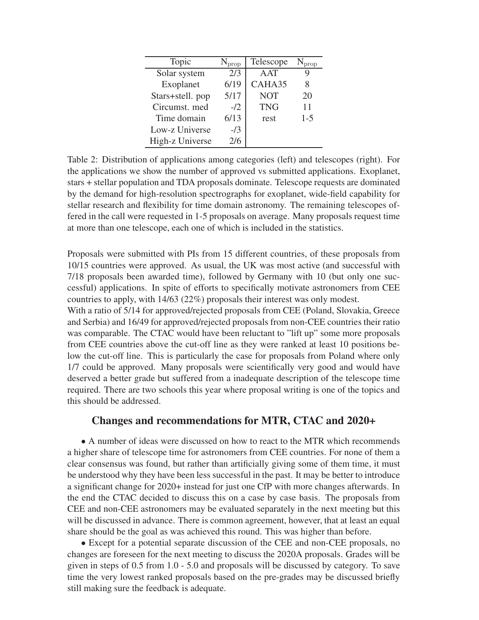| Topic            | prop  | Telescope  |       |
|------------------|-------|------------|-------|
| Solar system     | 2/3   | <b>AAT</b> |       |
| Exoplanet        | 6/19  | CAHA35     | 8     |
| Stars+stell. pop | 5/17  | <b>NOT</b> | 20    |
| Circumst. med    | $-12$ | <b>TNG</b> | 11    |
| Time domain      | 6/13  | rest       | $1-5$ |
| Low-z Universe   | $-13$ |            |       |
| High-z Universe  | 216   |            |       |

<span id="page-2-0"></span>Table 2: Distribution of applications among categories (left) and telescopes (right). For the applications we show the number of approved vs submitted applications. Exoplanet, stars + stellar population and TDA proposals dominate. Telescope requests are dominated by the demand for high-resolution spectrographs for exoplanet, wide-field capability for stellar research and flexibility for time domain astronomy. The remaining telescopes offered in the call were requested in 1-5 proposals on average. Many proposals request time at more than one telescope, each one of which is included in the statistics.

Proposals were submitted with PIs from 15 different countries, of these proposals from 10/15 countries were approved. As usual, the UK was most active (and successful with 7/18 proposals been awarded time), followed by Germany with 10 (but only one successful) applications. In spite of efforts to specifically motivate astronomers from CEE countries to apply, with 14/63 (22%) proposals their interest was only modest.

With a ratio of 5/14 for approved/rejected proposals from CEE (Poland, Slovakia, Greece and Serbia) and 16/49 for approved/rejected proposals from non-CEE countries their ratio was comparable. The CTAC would have been reluctant to "lift up" some more proposals from CEE countries above the cut-off line as they were ranked at least 10 positions below the cut-off line. This is particularly the case for proposals from Poland where only 1/7 could be approved. Many proposals were scientifically very good and would have deserved a better grade but suffered from a inadequate description of the telescope time required. There are two schools this year where proposal writing is one of the topics and this should be addressed.

## Changes and recommendations for MTR, CTAC and 2020+

• A number of ideas were discussed on how to react to the MTR which recommends a higher share of telescope time for astronomers from CEE countries. For none of them a clear consensus was found, but rather than artificially giving some of them time, it must be understood why they have been less successful in the past. It may be better to introduce a significant change for 2020+ instead for just one CfP with more changes afterwards. In the end the CTAC decided to discuss this on a case by case basis. The proposals from CEE and non-CEE astronomers may be evaluated separately in the next meeting but this will be discussed in advance. There is common agreement, however, that at least an equal share should be the goal as was achieved this round. This was higher than before.

• Except for a potential separate discussion of the CEE and non-CEE proposals, no changes are foreseen for the next meeting to discuss the 2020A proposals. Grades will be given in steps of 0.5 from 1.0 - 5.0 and proposals will be discussed by category. To save time the very lowest ranked proposals based on the pre-grades may be discussed briefly still making sure the feedback is adequate.